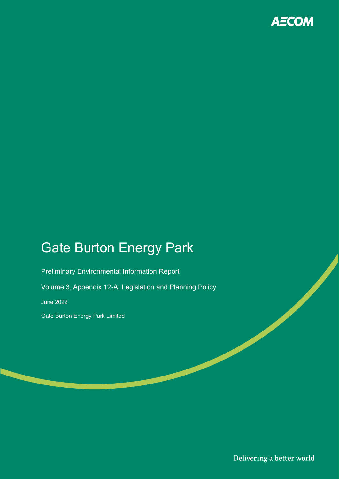

# Gate Burton Energy Park

Preliminary Environmental Information Report

Volume 3, Appendix 12-A: Legislation and Planning Policy

June 2022

Gate Burton Energy Park Limited

Delivering a better world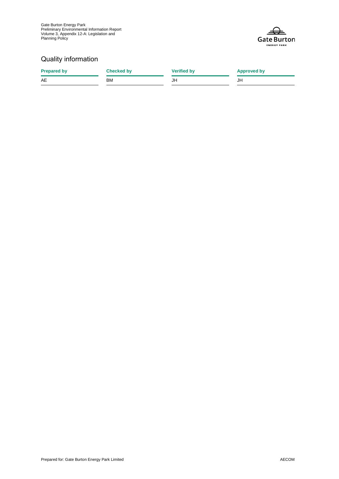

### Quality information

| <b>Prepared by</b> | <b>Checked by</b> | <b>Verified by</b> | <b>Approved by</b> |
|--------------------|-------------------|--------------------|--------------------|
| AE                 | <b>BM</b>         | JH                 | JH                 |
|                    |                   |                    |                    |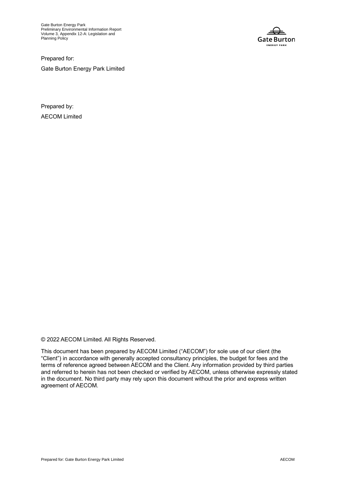Gate Burton Energy Park Preliminary Environmental Information Report Volume 3, Appendix 12-A: Legislation and Planning Policy



Prepared for: Gate Burton Energy Park Limited

Prepared by: AECOM Limited

© 2022 AECOM Limited. All Rights Reserved.

This document has been prepared by AECOM Limited ("AECOM") for sole use of our client (the "Client") in accordance with generally accepted consultancy principles, the budget for fees and the terms of reference agreed between AECOM and the Client. Any information provided by third parties and referred to herein has not been checked or verified by AECOM, unless otherwise expressly stated in the document. No third party may rely upon this document without the prior and express written agreement of AECOM.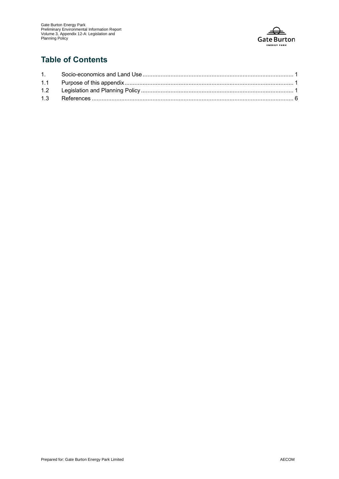

## **Table of Contents**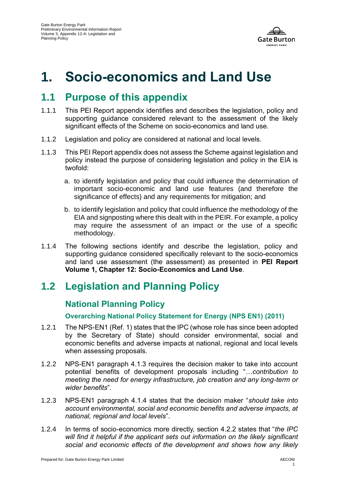

# **1. Socio-economics and Land Use**

# **1.1 Purpose of this appendix**

- 1.1.1 This PEI Report appendix identifies and describes the legislation, policy and supporting guidance considered relevant to the assessment of the likely significant effects of the Scheme on socio-economics and land use.
- 1.1.2 Legislation and policy are considered at national and local levels.
- 1.1.3 This PEI Report appendix does not assess the Scheme against legislation and policy instead the purpose of considering legislation and policy in the EIA is twofold:
	- a. to identify legislation and policy that could influence the determination of important socio-economic and land use features (and therefore the significance of effects) and any requirements for mitigation; and
	- b. to identify legislation and policy that could influence the methodology of the EIA and signposting where this dealt with in the PEIR. For example, a policy may require the assessment of an impact or the use of a specific methodology.
- 1.1.4 The following sections identify and describe the legislation, policy and supporting guidance considered specifically relevant to the socio-economics and land use assessment (the assessment) as presented in **PEI Report Volume 1, Chapter 12: Socio-Economics and Land Use**.

# **1.2 Legislation and Planning Policy**

## **National Planning Policy**

#### **Overarching National Policy Statement for Energy (NPS EN1) (2011)**

- 1.2.1 The NPS-EN1 (Ref. 1) states that the IPC (whose role has since been adopted by the Secretary of State) should consider environmental, social and economic benefits and adverse impacts at national, regional and local levels when assessing proposals.
- 1.2.2 NPS-EN1 paragraph 4.1.3 requires the decision maker to take into account potential benefits of development proposals including "…*contribution to meeting the need for energy infrastructure, job creation and any long-term or wider benefits*".
- 1.2.3 NPS-EN1 paragraph 4.1.4 states that the decision maker "*should take into account environmental, social and economic benefits and adverse impacts, at national, regional and local levels*".
- 1.2.4 In terms of socio-economics more directly, section 4.2.2 states that "*the IPC will find it helpful if the applicant sets out information on the likely significant social and economic effects of the development and shows how any likely*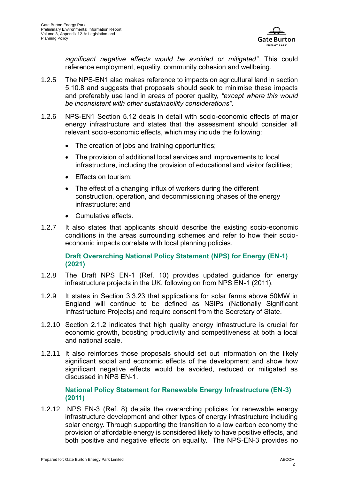

*significant negative effects would be avoided or mitigated"*. This could reference employment, equality, community cohesion and wellbeing.

- 1.2.5 The NPS-EN1 also makes reference to impacts on agricultural land in section 5.10.8 and suggests that proposals should seek to minimise these impacts and preferably use land in areas of poorer quality, *"except where this would be inconsistent with other sustainability considerations".*
- 1.2.6 NPS-EN1 Section 5.12 deals in detail with socio-economic effects of major energy infrastructure and states that the assessment should consider all relevant socio-economic effects, which may include the following:
	- The creation of jobs and training opportunities;
	- The provision of additional local services and improvements to local infrastructure, including the provision of educational and visitor facilities;
	- Effects on tourism;
	- The effect of a changing influx of workers during the different construction, operation, and decommissioning phases of the energy infrastructure; and
	- Cumulative effects.
- 1.2.7 It also states that applicants should describe the existing socio-economic conditions in the areas surrounding schemes and refer to how their socioeconomic impacts correlate with local planning policies.

**Draft Overarching National Policy Statement (NPS) for Energy (EN-1) (2021)**

- 1.2.8 The Draft NPS EN-1 (Ref. 10) provides updated guidance for energy infrastructure projects in the UK, following on from NPS EN-1 (2011).
- 1.2.9 It states in Section 3.3.23 that applications for solar farms above 50MW in England will continue to be defined as NSIPs (Nationally Significant Infrastructure Projects) and require consent from the Secretary of State.
- 1.2.10 Section 2.1.2 indicates that high quality energy infrastructure is crucial for economic growth, boosting productivity and competitiveness at both a local and national scale.
- 1.2.11 It also reinforces those proposals should set out information on the likely significant social and economic effects of the development and show how significant negative effects would be avoided, reduced or mitigated as discussed in NPS EN-1.

**National Policy Statement for Renewable Energy Infrastructure (EN-3) (2011)**

1.2.12 NPS EN-3 [\(Ref. 8\)](#page-9-0) details the overarching policies for renewable energy infrastructure development and other types of energy infrastructure including solar energy. Through supporting the transition to a low carbon economy the provision of affordable energy is considered likely to have positive effects, and both positive and negative effects on equality. The NPS-EN-3 provides no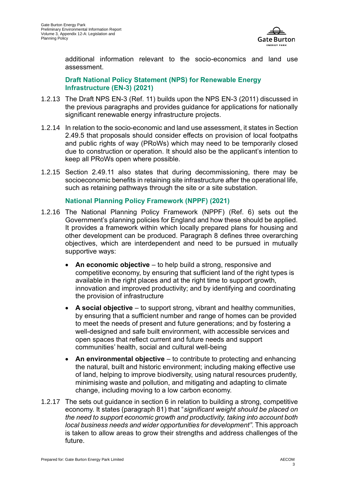

additional information relevant to the socio-economics and land use assessment.

**Draft National Policy Statement (NPS) for Renewable Energy Infrastructure (EN-3) (2021)**

- 1.2.13 The Draft NPS EN-3 [\(Ref. 11\)](#page-9-1) builds upon the NPS EN-3 (2011) discussed in the previous paragraphs and provides guidance for applications for nationally significant renewable energy infrastructure projects.
- 1.2.14 In relation to the socio-economic and land use assessment, it states in Section 2.49.5 that proposals should consider effects on provision of local footpaths and public rights of way (PRoWs) which may need to be temporarily closed due to construction or operation. It should also be the applicant's intention to keep all PRoWs open where possible.
- 1.2.15 Section 2.49.11 also states that during decommissioning, there may be socioeconomic benefits in retaining site infrastructure after the operational life, such as retaining pathways through the site or a site substation.

#### **National Planning Policy Framework (NPPF) (2021)**

- 1.2.16 The National Planning Policy Framework (NPPF) (Ref. 6) sets out the Government's planning policies for England and how these should be applied. It provides a framework within which locally prepared plans for housing and other development can be produced. Paragraph 8 defines three overarching objectives, which are interdependent and need to be pursued in mutually supportive ways:
	- **An economic objective** to help build a strong, responsive and competitive economy, by ensuring that sufficient land of the right types is available in the right places and at the right time to support growth, innovation and improved productivity; and by identifying and coordinating the provision of infrastructure
	- **A social objective** to support strong, vibrant and healthy communities, by ensuring that a sufficient number and range of homes can be provided to meet the needs of present and future generations; and by fostering a well-designed and safe built environment, with accessible services and open spaces that reflect current and future needs and support communities' health, social and cultural well-being
	- **An environmental objective** to contribute to protecting and enhancing the natural, built and historic environment; including making effective use of land, helping to improve biodiversity, using natural resources prudently, minimising waste and pollution, and mitigating and adapting to climate change, including moving to a low carbon economy.
- 1.2.17 The sets out guidance in section 6 in relation to building a strong, competitive economy. It states (paragraph 81) that "*significant weight should be placed on the need to support economic growth and productivity, taking into account both local business needs and wider opportunities for development"*. This approach is taken to allow areas to grow their strengths and address challenges of the future.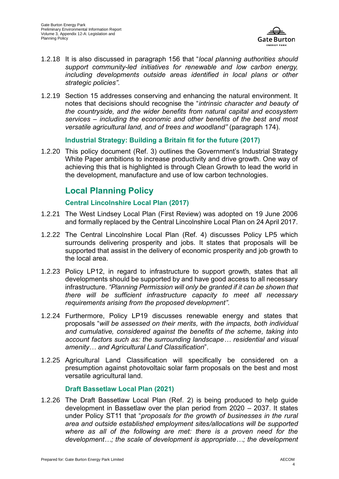

- 1.2.18 It is also discussed in paragraph 156 that "*local planning authorities should support community-led initiatives for renewable and low carbon energy, including developments outside areas identified in local plans or other strategic policies".*
- 1.2.19 Section 15 addresses conserving and enhancing the natural environment. It notes that decisions should recognise the "*intrinsic character and beauty of the countryside, and the wider benefits from natural capital and ecosystem services – including the economic and other benefits of the best and most versatile agricultural land, and of trees and woodland"* (paragraph 174)*.*

#### **Industrial Strategy: Building a Britain fit for the future (2017)**

1.2.20 This policy document (Ref. 3) outlines the Government's Industrial Strategy White Paper ambitions to increase productivity and drive growth. One way of achieving this that is highlighted is through Clean Growth to lead the world in the development, manufacture and use of low carbon technologies.

### **Local Planning Policy**

#### **Central Lincolnshire Local Plan (2017)**

- 1.2.21 The West Lindsey Local Plan (First Review) was adopted on 19 June 2006 and formally replaced by the Central Lincolnshire Local Plan on 24 April 2017.
- 1.2.22 The Central Lincolnshire Local Plan (Ref. 4) discusses Policy LP5 which surrounds delivering prosperity and jobs. It states that proposals will be supported that assist in the delivery of economic prosperity and job growth to the local area.
- 1.2.23 Policy LP12, in regard to infrastructure to support growth, states that all developments should be supported by and have good access to all necessary infrastructure. *"Planning Permission will only be granted if it can be shown that there will be sufficient infrastructure capacity to meet all necessary requirements arising from the proposed development".*
- 1.2.24 Furthermore, Policy LP19 discusses renewable energy and states that proposals "*will be assessed on their merits, with the impacts, both individual and cumulative, considered against the benefits of the scheme, taking into account factors such as: the surrounding landscape… residential and visual amenity… and Agricultural Land Classification*".
- 1.2.25 Agricultural Land Classification will specifically be considered on a presumption against photovoltaic solar farm proposals on the best and most versatile agricultural land.

#### **Draft Bassetlaw Local Plan (2021)**

1.2.26 The Draft Bassetlaw Local Plan (Ref. 2) is being produced to help guide development in Bassetlaw over the plan period from 2020 – 2037. It states under Policy ST11 that "*proposals for the growth of businesses in the rural area and outside established employment sites/allocations will be supported where as all of the following are met: there is a proven need for the development…; the scale of development is appropriate…; the development*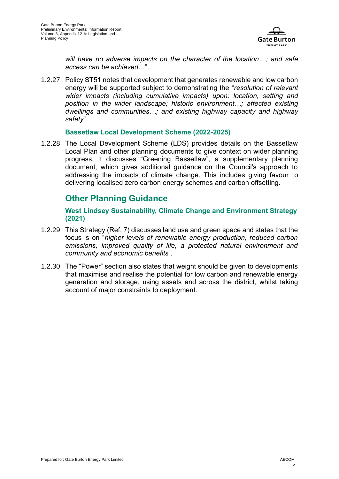

*will have no adverse impacts on the character of the location…; and safe access can be achieved*…".

1.2.27 Policy ST51 notes that development that generates renewable and low carbon energy will be supported subject to demonstrating the "*resolution of relevant wider impacts (including cumulative impacts) upon: location, setting and position in the wider landscape; historic environment…; affected existing dwellings and communities…; and existing highway capacity and highway safety*".

#### **Bassetlaw Local Development Scheme (2022-2025)**

1.2.28 The Local Development Scheme (LDS) provides details on the Bassetlaw Local Plan and other planning documents to give context on wider planning progress. It discusses "Greening Bassetlaw", a supplementary planning document, which gives additional guidance on the Council's approach to addressing the impacts of climate change. This includes giving favour to delivering localised zero carbon energy schemes and carbon offsetting.

### **Other Planning Guidance**

**West Lindsey Sustainability, Climate Change and Environment Strategy (2021)**

- 1.2.29 This Strategy (Ref. 7) discusses land use and green space and states that the focus is on "*higher levels of renewable energy production, reduced carbon emissions, improved quality of life, a protected natural environment and community and economic benefits".*
- 1.2.30 The "Power" section also states that weight should be given to developments that maximise and realise the potential for low carbon and renewable energy generation and storage, using assets and across the district, whilst taking account of major constraints to deployment.